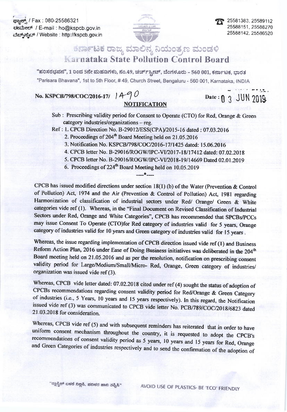ಕ್<del>ಟಾನ್ಸ್</del> / Fax: 080-25586321 etableof / E-mail: ho@kspcb.gov.in ಮೆಬ್<sub>ನ</sub>ೇಬ್ / Website : http://kspcb.gov.in



25581383.25589112 25588151.25588270 25588142, 25586520

## ಕರ್ನಾಟಕ ರಾಜ್ಯ ಮಾಲಿನ್ಯ ನಿಯಂತ್ರಣ ಮಂಡಳಿ **A arnataka State Pollution Control Board**

"ಪರಿಸರಭವನ", 1 ರಿಂದ 5ನೇ ಮಹಡಿಗಳು, ನಂ.49, ಚರ್ಚ್ಸ್ಕ್ರೀಟ್, ಬೆಂಗಳೂರು – 560 001, ಕರ್ನಾಟಕ, ಭಾರತ "Parisara Bhavana", 1st to 5th Floor, #49, Church Street, Bengaluru - 560 001, Karnataka, INDIA

## No. KSPCB/798/COC/2016-17/ 1490 **NOTIFICATION**

Date: 0 3 JUN 2019

Sub : Prescribing validity period for Consent to Operate (CTO) for Red, Orange & Green category industries/organizations - reg.

Ref: 1. CPCB Direction No. B-29012/ESS(CPA)/2015-16 dated: 07.03.2016

- 2. Proceedings of 204<sup>th</sup> Board Meeting held on 21,05,2016
- 3. Notification No. KSPCB/798/COC/2016-17/1425 dated: 15.06.2016

 $+$ 

- 4. CPCB letter No. B-29016/ROGW/IPC-VI/2017-18/17412 dated: 07.02.2018
- 5. CPCB letter No. B-29016/ROGW/IPC-VI/2018-19/14669 Dated 02.01.2019
- 6. Proceedings of 224<sup>th</sup> Board Meeting held on 10.05.2019

CPCB has issued modified directions under section 18(1) (b) of the Water (Prevention & Control of Pollution) Act, 1974 and the Air (Prevention & Control of Pollution) Act, 1981 regarding Harmonization of classification of industrial sectors under Red/ Orange/ Green & White categories vide ref (1). Whereas, in the "Final Document on Revised Classification of Industrial Sectors under Red, Orange and White Categories", CPCB has recommended that SPCBs/PCCs may issue Consent To Operate (CTO)for Red category of industries valid for 5 years, Orange category of industries valid for 10 years and Green category of industries valid for 15 years.

Whereas, the issue regarding implementation of CPCB direction issued vide ref (1) and Business Reform Action Plan, 2016 under Ease of Doing Business initiatives was deliberated in the 204<sup>th</sup> Board meeting held on 21.05.2016 and as per the resolution, notification on prescribing consent validity period for Large/Medium/Small/Micro-Red, Orange, Green category of industries/ organization was issued vide ref (3).

Whereas, CPCB vide letter dated: 07.02.2018 cited under ref (4) sought the status of adoption of CPCBs recommendations regarding consent validity period for Red/Orange & Green Category of industries (i.e., 5 Years, 10 years and 15 years respectively). In this regard, the Notification issued vide ref (3) was communicated to CPCB vide letter No. PCB/789/COC/2018/6823 dated 21.03.2018 for consideration.

Whereas, CPCB vide ref (5) and with subsequent reminders has reiterated that in order to have uniform consent mechanism throughout the country, it is requested to adopt the CPCB's recommendations of consent validity period as 5 years, 10 years and 15 years for Red, Orange and Green Categories of industries respectively and to send the confirmation of the adoption of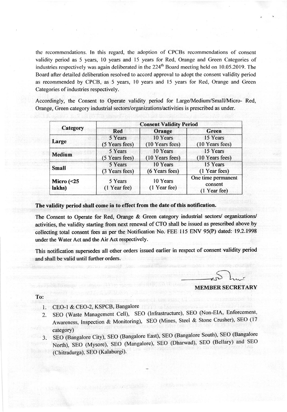the recommendations. ln this regard, the adoption of CPCBs recommendations of consent validity period as 5 years, l0 years and 15 years for Red, Orange and Green Categories of industries respectively was again deliberated in the  $224<sup>th</sup>$  Board meeting held on 10.05.2019. The Board after detailed deliberation resolved to accord approval to adopt the consent validity period as recommended by CPCB, as 5 years, l0 years and 15 years for Red, Orange and Green Categories of industries respectively.

Accordingly, the Consent to Operate validity period for Large/Medium/Small/Micro- Red, Orange, Green category industrial sectors/organizations/activities is prescribed as under.

| <b>Consent Validity Period</b>             |                          |                                               |
|--------------------------------------------|--------------------------|-----------------------------------------------|
| Category<br>Red                            | Orange                   | <b>Green</b>                                  |
| 5 Years                                    | 10 Years                 | 15 Years                                      |
| Large<br>(5 Years fees)                    | (10 Years fees)          | (10 Years fees)                               |
| 5 Years<br><b>Medium</b><br>(5 Years fees) | 10 Years                 | 15 Years                                      |
|                                            | (10 Years fees)          | (10 Years fees)                               |
| 5 Years<br><b>Small</b><br>(3 Years fees)  | 10 Years                 | 15 Years                                      |
|                                            | (6 Years fees)           | (1 Year fees)                                 |
| 5 Years<br>(1 Year fee)                    | 10 Years<br>(1 Year fee) | One time permanent<br>consent<br>(1 Year fee) |
|                                            |                          |                                               |

The validity period shall come in to effect from the date of this notification.

The Consent to Operate for Red, Orange & Green category industrial sectors/ organizations/ activities, the validity starting from next renewal of CTO shall be issued as prescribed above by collecting total consent fees as per the Notification No. FEE 115 ENV 95(P) dated: 19.2.1998 under the Water Act and the Air Act respectively.

This notification supersedes all other orders issued earlier in respect of consent validity period and shall be valid until further orders.

## MEMBER SECRETARY

To:

- 1. CEO-1 & CEO-2, KSPCB, Bangalore
- 2. SEO (Waste Management cell), sEo (lnfrastructure), SEO (Non-ElA, Enforcement, Awareness, Inspection & Monitoring), SEO (Mines, Steel & Stone Crusher), SEO (17 category)
- 3. SEO (Bangalore City), SEO (Bangalore East), SEO (Bangalore South), SEO (Bangalore North), SEO (Mysore), SEO (Mangalore), SEO (Dharwad), SEO (Bellary) and SEO (Chitradurga), SEO (Kalaburgi).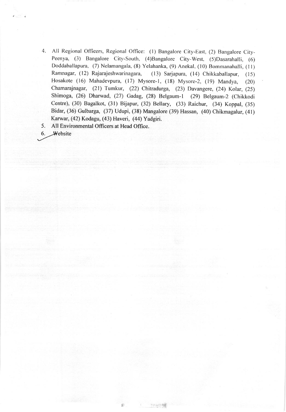4. All Regional Officers, Regional Office: (l) Bangalore City-East, (2) Bangalore City-Peenya, (3) Bangalore City-South, (4)Bangalore City-West, (5)Dasarahalli, (6) Doddaballapura, (7) Nelamangala, (8) Yelahanka, (9) Anekal, (10) Bommanahalli, (l l) Ramnagar, (12) Rajarajeshwarinagara, (13) Sarjapura, (14) Chikkaballapur, (15) Hosakote (16) Mahadevpura, (17) Mysore-1, (18) Mysore-2, (19) Mandya, (20) chamarajnagar, (21) Tumkur, (22) Chitradurga, (23) Davangere, (24) Kolar, (25) Shimoga, (26) Dharwad, (27) Gadag, (28) Belgaum-l (29) Betgaum-2 (chikkodi Centre), (30) Bagalkot, (31) Bijapur, (32) Bellary, (33) Raichur, (3a) Koppal, (35) Bidar, (36) Gulbarga, (37) Udupi, (38) Mangalore (39) Hassan, (40) Chikmagalur, (41) Karwar, (42) Kodagu, (43) Haveri, (44) Yadgiri.

5. All Environmental Officers at Head Office.

6. Website